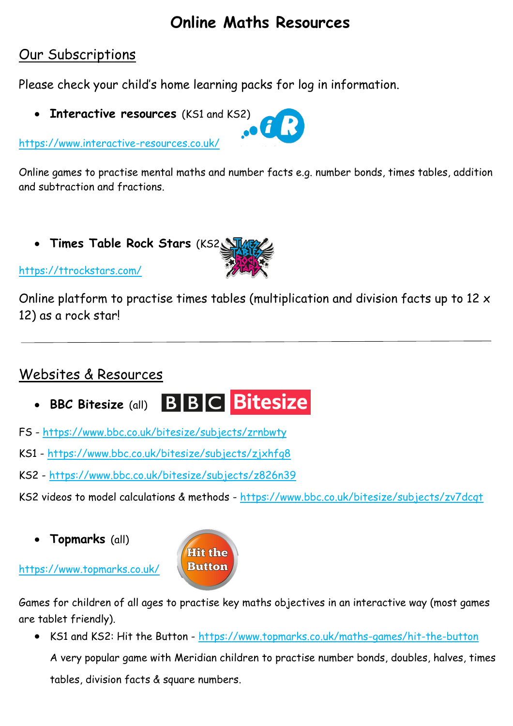# **Online Maths Resources**

## Our Subscriptions

Please check your child's home learning packs for log in information.

**Interactive resources** (KS1 and KS2)

<https://www.interactive-resources.co.uk/>



Online games to practise mental maths and number facts e.g. number bonds, times tables, addition and subtraction and fractions.

**Times Table Rock Stars** (KS2)



<https://ttrockstars.com/>

Online platform to practise times tables (multiplication and division facts up to 12 x 12) as a rock star!

# Websites & Resources

- **BBC Bitesize (all)** BBBC Bitesize
- FS <https://www.bbc.co.uk/bitesize/subjects/zrnbwty>
- KS1 <https://www.bbc.co.uk/bitesize/subjects/zjxhfg8>
- KS2 <https://www.bbc.co.uk/bitesize/subjects/z826n39>
- KS2 videos to model calculations & methods <https://www.bbc.co.uk/bitesize/subjects/zv7dcqt>
	- **Topmarks** (all)

<https://www.topmarks.co.uk/>



Games for children of all ages to practise key maths objectives in an interactive way (most games are tablet friendly).

 KS1 and KS2: Hit the Button - <https://www.topmarks.co.uk/maths-games/hit-the-button> A very popular game with Meridian children to practise number bonds, doubles, halves, times

tables, division facts & square numbers.